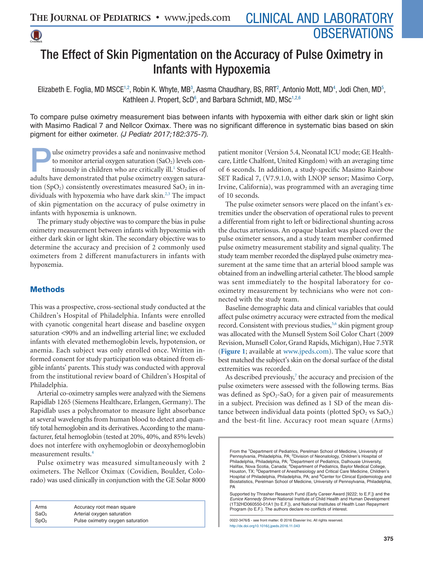# The Effect of Skin Pigmentation on the Accuracy of Pulse Oximetry in Infants with Hypoxemia

Elizabeth E. Foglia, MD MSCE<sup>1[,2](#page-0-1)</sup>, Robin K. Whyte, MB<sup>3</sup>, Aasma Chaudhary, BS, RRT<sup>2</sup>, Antonio Mott, MD<sup>4</sup>, Jodi Chen, MD<sup>5</sup>, Kathleen J. Propert, ScD<sup>6</sup>, and Barbara Schmidt, MD, MSc<sup>1,[2](#page-0-1)[,6](#page-0-5)</sup>

To compare pulse oximetry measurement bias between infants with hypoxemia with either dark skin or light skin with Masimo Radical 7 and Nellcor Oximax. There was no significant difference in systematic bias based on skin pigment for either oximeter. (J Pediatr 2017;182:375-7).

ulse oximetry provides a safe and noninvasive method to monitor arterial oxygen saturation  $(SaO<sub>2</sub>)$  levels continuously in children who are critically ill.<sup>1</sup> Studies of adults have demonstrated that pulse oximetry oxygen saturation (SpO<sub>2</sub>) consistently overestimates measured SaO<sub>2</sub> in individuals with hypoxemia who have dark skin.<sup>2,3</sup> The impact of skin pigmentation on the accuracy of pulse oximetry in infants with hypoxemia is unknown.

The primary study objective was to compare the bias in pulse oximetry measurement between infants with hypoxemia with either dark skin or light skin. The secondary objective was to determine the accuracy and precision of 2 commonly used oximeters from 2 different manufacturers in infants with hypoxemia.

## Methods

This was a prospective, cross-sectional study conducted at the Children's Hospital of Philadelphia. Infants were enrolled with cyanotic congenital heart disease and baseline oxygen saturation <90% and an indwelling arterial line; we excluded infants with elevated methemoglobin levels, hypotension, or anemia. Each subject was only enrolled once. Written informed consent for study participation was obtained from eligible infants' parents. This study was conducted with approval from the institutional review board of Children's Hospital of Philadelphia.

Arterial co-oximetry samples were analyzed with the Siemens Rapidlab 1265 (Siemens Healthcare, Erlangen, Germany). The Rapidlab uses a polychromator to measure light absorbance at several wavelengths from human blood to detect and quantify total hemoglobin and its derivatives. According to the manufacturer, fetal hemoglobin (tested at 20%, 40%, and 85% levels) does not interfere with oxyhemoglobin or deoxyhemoglobin measurement results[.4](#page-2-2)

Pulse oximetry was measured simultaneously with 2 oximeters. The Nellcor Oximax (Covidien, Boulder, Colorado) was used clinically in conjunction with the GE Solar 8000

| Arms             | Accuracy root mean square        |  |
|------------------|----------------------------------|--|
| SaO <sub>2</sub> | Arterial oxygen saturation       |  |
| SpO <sub>2</sub> | Pulse oximetry oxygen saturation |  |

patient monitor (Version 5.4, Neonatal ICU mode; GE Healthcare, Little Chalfont, United Kingdom) with an averaging time of 6 seconds. In addition, a study-specific Masimo Rainbow SET Radical 7, (V7.9.1.0, with LNOP sensor; Masimo Corp, Irvine, California), was programmed with an averaging time of 10 seconds.

The pulse oximeter sensors were placed on the infant's extremities under the observation of operational rules to prevent a differential from right to left or bidirectional shunting across the ductus arteriosus. An opaque blanket was placed over the pulse oximeter sensors, and a study team member confirmed pulse oximetry measurement stability and signal quality. The study team member recorded the displayed pulse oximetry measurement at the same time that an arterial blood sample was obtained from an indwelling arterial catheter. The blood sample was sent immediately to the hospital laboratory for cooximetry measurement by technicians who were not connected with the study team.

Baseline demographic data and clinical variables that could affect pulse oximetry accuracy were extracted from the medical record. Consistent with previous studies,<sup>5,6</sup> skin pigment group was allocated with the Munsell System Soil Color Chart (2009 Revision, Munsell Color, Grand Rapids, Michigan), Hue 7.5YR (**[Figure 1](#page-3-0)**; available at [www.jpeds.com\)](http://www.jpeds.com). The value score that best matched the subject's skin on the dorsal surface of the distal extremities was recorded.

As described previously, $\frac{7}{7}$  the accuracy and precision of the pulse oximeters were assessed with the following terms. Bias was defined as  $SpO<sub>2</sub>-SaO<sub>2</sub>$  for a given pair of measurements in a subject. Precision was defined as 1 SD of the mean distance between individual data points (plotted  $SpO<sub>2</sub>$  vs  $SaO<sub>2</sub>$ ) and the best-fit line. Accuracy root mean square (Arms)

<span id="page-0-4"></span><span id="page-0-3"></span><span id="page-0-2"></span><span id="page-0-1"></span><span id="page-0-0"></span>From the 1Department of Pediatrics, Perelman School of Medicine, University of Pennsylvania, Philadelphia, PA; <sup>2</sup>Division of Neonatology, Children's Hospital of<br>Philadelphia, Philadelphia, PA; <sup>3</sup>Department of Pediatrics, Dalhousie University,<br>Halifax, Nova Scotia, Canada; <sup>4</sup>Department of Pediatric Houston, TX; 5Department of Anesthesiology and Critical Care Medicine, Children's Hospital of Philadelphia, Philadelphia, PA; and <sup>6</sup>Center for Clinical Epidemiology and<br>Biostatistics, Perelman School of Medicine, University of Pennsylvania, Philadelphia, PA

<span id="page-0-5"></span>Supported by Thrasher Research Fund (Early Career Award [9222; to E.F.]) and the *Eunice Kennedy Shriver* National Institute of Child Health and Human Development (1T32HD060550-01A1 [to E.F.]), and National Institutes of Health Loan Repayment Program (to E.F.). The authors declare no conflicts of interest.

<sup>0022-3476/\$ -</sup> see front matter. © 2016 Elsevier Inc. All rights reserved. http://dx.doi.org10.1016/j.jpeds.2016.11.043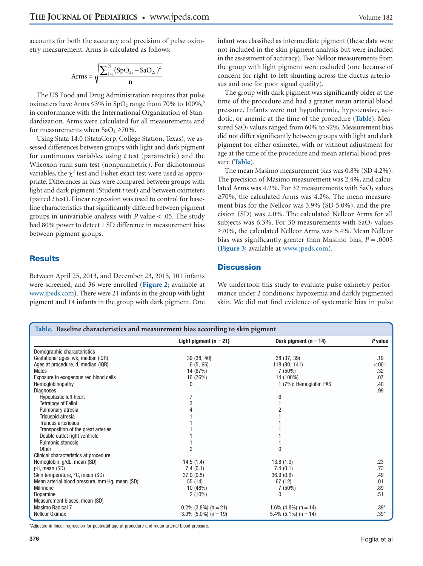accounts for both the accuracy and precision of pulse oximetry measurement. Arms is calculated as follows:

$$
Arms = \sqrt{\frac{\sum_{i=l}^{N}(SpO_{2i} - SaO_{2i})^2}{n}}
$$

The US Food and Drug Administration requires that pulse oximeters have Arms  $\leq$ 3% in SpO<sub>2</sub> range from 70% to 100%,<sup>8</sup> in conformance with the International Organization of Standardization. Arms were calculated for all measurements and for measurements when  $SaO<sub>2</sub> \ge 70\%$ .

Using Stata 14.0 (StataCorp, College Station, Texas), we assessed differences between groups with light and dark pigment for continuous variables using *t* test (parametric) and the Wilcoxon rank sum test (nonparametric). For dichotomous variables, the  $\chi^2$  test and Fisher exact test were used as appropriate. Differences in bias were compared between groups with light and dark pigment (Student *t* test) and between oximeters (paired *t* test). Linear regression was used to control for baseline characteristics that significantly differed between pigment groups in univariable analysis with *P* value < .05. The study had 80% power to detect 1 SD difference in measurement bias between pigment groups.

### **Results**

Between April 25, 2013, and December 23, 2015, 101 infants were screened, and 36 were enrolled (**[Figure 2](#page-3-0)**; available at [www.jpeds.com\)](http://www.jpeds.com). There were 21 infants in the group with light pigment and 14 infants in the group with dark pigment. One infant was classified as intermediate pigment (these data were not included in the skin pigment analysis but were included in the assessment of accuracy). Two Nellcor measurements from the group with light pigment were excluded (one because of concern for right-to-left shunting across the ductus arteriosus and one for poor signal quality).

The group with dark pigment was significantly older at the time of the procedure and had a greater mean arterial blood pressure. Infants were not hypothermic, hypotensive, acidotic, or anemic at the time of the procedure (**Table**). Measured  $SaO<sub>2</sub>$  values ranged from 60% to 92%. Measurement bias did not differ significantly between groups with light and dark pigment for either oximeter, with or without adjustment for age at the time of the procedure and mean arterial blood pressure (**Table**).

The mean Masimo measurement bias was 0.8% (SD 4.2%). The precision of Masimo measurement was 2.4%, and calculated Arms was 4.2%. For 32 measurements with  $SaO<sub>2</sub>$  values ≥70%, the calculated Arms was 4.2%. The mean measurement bias for the Nellcor was 3.9% (SD 5.0%), and the precision (SD) was 2.0%. The calculated Nellcor Arms for all subjects was  $6.3\%$ . For 30 measurements with  $SaO<sub>2</sub>$  values ≥70%, the calculated Nellcor Arms was 5.4%. Mean Nellcor bias was significantly greater than Masimo bias, *P* = .0005 (**[Figure 3](#page-4-0)**; available at [www.jpeds.com\)](http://www.jpeds.com).

#### **Discussion**

We undertook this study to evaluate pulse oximetry performance under 2 conditions: hypoxemia and darkly pigmented skin. We did not find evidence of systematic bias in pulse

| Table. Baseline characteristics and measurement bias according to skin pigment |                            |                           |                |  |
|--------------------------------------------------------------------------------|----------------------------|---------------------------|----------------|--|
|                                                                                | Light pigment ( $n = 21$ ) | Dark pigment ( $n = 14$ ) | <b>P</b> value |  |
| Demographic characteristics                                                    |                            |                           |                |  |
| Gestational ages, wk, median (IQR)                                             | 39 (38, 40)                | 38 (37, 39)               | .19            |  |
| Ages at procedure, d, median (IQR)                                             | 6(5, 66)                   | 118 (80, 141)             | < .001         |  |
| <b>Males</b>                                                                   | 14 (67%)                   | $7(50\%)$                 | .32            |  |
| Exposure to exogenous red blood cells                                          | 16 (76%)                   | 14 (100%)                 | .07            |  |
| Hemoglobinopathy                                                               | 0                          | 1 (7%): Hemoglobin FAS    | .40            |  |
| <b>Diagnoses</b>                                                               |                            |                           | .99            |  |
| Hypoplastic left heart                                                         |                            | 6                         |                |  |
| <b>Tetralogy of Fallot</b>                                                     | 3                          |                           |                |  |
| Pulmonary atresia                                                              |                            |                           |                |  |
| Tricuspid atresia                                                              |                            |                           |                |  |
| Truncus arteriosus                                                             |                            |                           |                |  |
| Transposition of the great arteries                                            |                            |                           |                |  |
| Double outlet right ventricle                                                  |                            |                           |                |  |
| Pulmonic stenosis                                                              |                            |                           |                |  |
| Other                                                                          | 2                          | N                         |                |  |
| Clinical characteristics at procedure                                          |                            |                           |                |  |
| Hemoglobin, g/dL, mean (SD)                                                    | 14.5(1.4)                  | 13.8(1.9)                 | .23            |  |
| pH, mean (SD)                                                                  | 7.4(0.1)                   | 7.4(0.1)                  | .73            |  |
| Skin temperature, °C, mean (SD)                                                | 37.0(0.5)                  | 36.9(0.6)                 | .49            |  |
| Mean arterial blood pressure, mm Hq, mean (SD)                                 | 55 (14)                    | 67 (12)                   | .01            |  |
| <b>Milrinone</b>                                                               | 10 (48%)                   | $7(50\%)$                 | .89            |  |
| Dopamine                                                                       | $2(10\%)$                  | 0                         | .51            |  |
| Measurement biases, mean (SD)                                                  |                            |                           |                |  |
| <b>Masimo Radical 7</b>                                                        | $0.2\%$ (3.8%) (n = 21)    | 1.6% $(4.8\%)$ (n = 14)   | $.39*$         |  |
| Nellcor Oximax                                                                 | $3.0\%$ (5.0%) (n = 19)    | $5.4\%$ (5.1%) (n = 14)   | $.39*$         |  |

<span id="page-1-0"></span>\*Adjusted in linear regression for postnatal age at procedure and mean arterial blood pressure.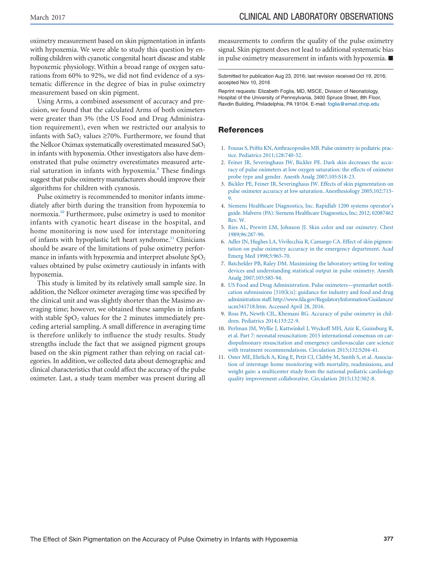oximetry measurement based on skin pigmentation in infants with hypoxemia. We were able to study this question by enrolling children with cyanotic congenital heart disease and stable hypoxemic physiology. Within a broad range of oxygen saturations from 60% to 92%, we did not find evidence of a systematic difference in the degree of bias in pulse oximetry measurement based on skin pigment.

Using Arms, a combined assessment of accuracy and precision, we found that the calculated Arms of both oximeters were greater than 3% (the US Food and Drug Administration requirement), even when we restricted our analysis to infants with SaO<sub>2</sub> values  $\geq$ 70%. Furthermore, we found that the Nellcor Oximax systematically overestimated measured  $SaO<sub>2</sub>$ in infants with hypoxemia. Other investigators also have demonstrated that pulse oximetry overestimates measured arterial saturation in infants with hypoxemia.<sup>9</sup> These findings suggest that pulse oximetry manufacturers should improve their algorithms for children with cyanosis.

Pulse oximetry is recommended to monitor infants immediately after birth during the transition from hypoxemia to normoxia[.10](#page-2-7) Furthermore, pulse oximetry is used to monitor infants with cyanotic heart disease in the hospital, and home monitoring is now used for interstage monitoring of infants with hypoplastic left heart syndrome.<sup>11</sup> Clinicians should be aware of the limitations of pulse oximetry performance in infants with hypoxemia and interpret absolute  $SpO<sub>2</sub>$ values obtained by pulse oximetry cautiously in infants with hypoxemia.

This study is limited by its relatively small sample size. In addition, the Nellcor oximeter averaging time was specified by the clinical unit and was slightly shorter than the Masimo averaging time; however, we obtained these samples in infants with stable  $SpO<sub>2</sub>$  values for the 2 minutes immediately preceding arterial sampling. A small difference in averaging time is therefore unlikely to influence the study results. Study strengths include the fact that we assigned pigment groups based on the skin pigment rather than relying on racial categories. In addition, we collected data about demographic and clinical characteristics that could affect the accuracy of the pulse oximeter. Last, a study team member was present during all

measurements to confirm the quality of the pulse oximetry signal. Skin pigment does not lead to additional systematic bias in pulse oximetry measurement in infants with hypoxemia. ■

Submitted for publication Aug 23, 2016; last revision received Oct 19, 2016; accepted Nov 10, 2016

Reprint requests: Elizabeth Foglia, MD, MSCE, Division of Neonatology, Hospital of the University of Pennsylvania, 3400 Spruce Street, 8th Floor, Ravdin Building, Philadelphia, PA 19104. E-mail: [foglia@email.chop.edu](mailto:foglia@email.chop.edu)

#### **References**

- <span id="page-2-0"></span>1. [Fouzas S, Priftis KN, Anthracopoulos MB. Pulse oximetry in pediatric prac](http://refhub.elsevier.com/S0022-3476(16)31272-0/sr0010)[tice. Pediatrics 2011;128:740-52.](http://refhub.elsevier.com/S0022-3476(16)31272-0/sr0010)
- <span id="page-2-1"></span>2. [Feiner JR, Severinghaus JW, Bickler PE. Dark skin decreases the accu](http://refhub.elsevier.com/S0022-3476(16)31272-0/sr0015)[racy of pulse oximeters at low oxygen saturation: the effects of oximeter](http://refhub.elsevier.com/S0022-3476(16)31272-0/sr0015) [probe type and gender. Anesth Analg 2007;105:S18-23.](http://refhub.elsevier.com/S0022-3476(16)31272-0/sr0015)
- 3. [Bickler PE, Feiner JR, Severinghaus JW. Effects of skin pigmentation on](http://refhub.elsevier.com/S0022-3476(16)31272-0/sr0020) [pulse oximeter accuracy at low saturation. Anesthesiology 2005;102:715-](http://refhub.elsevier.com/S0022-3476(16)31272-0/sr0020) [9.](http://refhub.elsevier.com/S0022-3476(16)31272-0/sr0020)
- <span id="page-2-2"></span>4. [Siemens Healthcare Diagnostics, Inc. Rapidlab 1200 systems operator's](http://refhub.elsevier.com/S0022-3476(16)31272-0/sr0025) [guide. Malvern \(PA\): Siemens Healthcare Diagnostics, Inc; 2012; 02087462](http://refhub.elsevier.com/S0022-3476(16)31272-0/sr0025) [Rev. W.](http://refhub.elsevier.com/S0022-3476(16)31272-0/sr0025)
- <span id="page-2-3"></span>5. [Ries AL, Prewitt LM, Johnson JJ. Skin color and ear oximetry. Chest](http://refhub.elsevier.com/S0022-3476(16)31272-0/sr0030) [1989;96:287-90.](http://refhub.elsevier.com/S0022-3476(16)31272-0/sr0030)
- 6. [Adler JN, Hughes LA, Vivilecchia R, Camargo CA. Effect of skin pigmen](http://refhub.elsevier.com/S0022-3476(16)31272-0/sr0035)[tation on pulse oximetry accuracy in the emergency department. Acad](http://refhub.elsevier.com/S0022-3476(16)31272-0/sr0035) [Emerg Med 1998;5:965-70.](http://refhub.elsevier.com/S0022-3476(16)31272-0/sr0035)
- <span id="page-2-4"></span>7. [Batchelder PB, Raley DM. Maximizing the laboratory setting for testing](http://refhub.elsevier.com/S0022-3476(16)31272-0/sr0040) [devices and understanding statistical output in pulse oximetry. Anesth](http://refhub.elsevier.com/S0022-3476(16)31272-0/sr0040) [Analg 2007;105:S85-94.](http://refhub.elsevier.com/S0022-3476(16)31272-0/sr0040)
- <span id="page-2-5"></span>8. [US Food and Drug Administration. Pulse oximeters—premarket notifi](http://refhub.elsevier.com/S0022-3476(16)31272-0/sr0045)cation submissions  $[510(k)s]$ : guidance for industry and food and drug administration staff. [http://www.fda.gov/RegulatoryInformation/Guidances/](http://www.fda.gov/RegulatoryInformation/Guidances/ucm341718.htm) [ucm341718.htm.](http://www.fda.gov/RegulatoryInformation/Guidances/ucm341718.htm) Accessed April 28, 2016.
- <span id="page-2-6"></span>9. [Ross PA, Newth CJL, Khemani RG. Accuracy of pulse oximetry in chil](http://refhub.elsevier.com/S0022-3476(16)31272-0/sr0050)[dren. Pediatrics 2014;133:22-9.](http://refhub.elsevier.com/S0022-3476(16)31272-0/sr0050)
- <span id="page-2-7"></span>10. [Perlman JM, Wyllie J, Kattwinkel J, Wyckoff MH, Aziz K, Guinsburg R,](http://refhub.elsevier.com/S0022-3476(16)31272-0/sr0055) [et al. Part 7: neonatal resuscitation: 2015 international consensus on car](http://refhub.elsevier.com/S0022-3476(16)31272-0/sr0055)[diopulmonary resuscitation and emergency cardiovascular care science](http://refhub.elsevier.com/S0022-3476(16)31272-0/sr0055) [with treatment recommendations. Circulation 2015;132:S204-41.](http://refhub.elsevier.com/S0022-3476(16)31272-0/sr0055)
- <span id="page-2-8"></span>11. [Oster ME, Ehrlich A, King E, Petit CJ, Clabby M, Smith S, et al. Associa](http://refhub.elsevier.com/S0022-3476(16)31272-0/sr0060)[tion of interstage home monitoring with mortality, readmissions, and](http://refhub.elsevier.com/S0022-3476(16)31272-0/sr0060) [weight gain: a multicenter study from the national pediatric cardiology](http://refhub.elsevier.com/S0022-3476(16)31272-0/sr0060) [quality improvement collaborative. Circulation 2015;132:502-8.](http://refhub.elsevier.com/S0022-3476(16)31272-0/sr0060)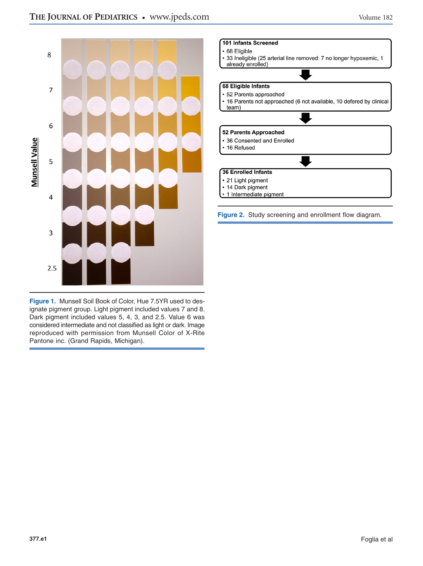<span id="page-3-0"></span>

**Figure 1.** Munsell Soil Book of Color, Hue 7.5YR used to designate pigment group. Light pigment included values 7 and 8. Dark pigment included values 5, 4, 3, and 2.5. Value 6 was considered intermediate and not classified as light or dark. Image reproduced with permission from Munsell Color of X-Rite Pantone inc. (Grand Rapids, Michigan).



Figure 2. Study screening and enrollment flow diagram.